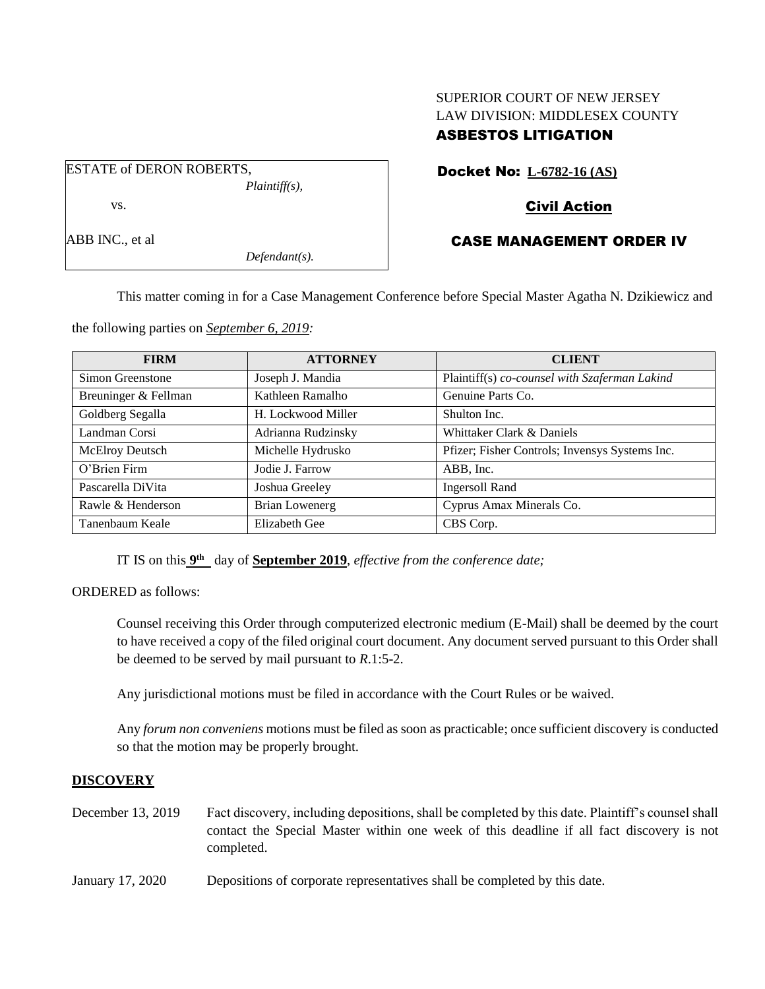# SUPERIOR COURT OF NEW JERSEY LAW DIVISION: MIDDLESEX COUNTY ASBESTOS LITIGATION

ESTATE of DERON ROBERTS, *Plaintiff(s),* vs.

ABB INC., et al

*Defendant(s).*

# Docket No: **L-6782-16 (AS)**

## Civil Action

## CASE MANAGEMENT ORDER IV

This matter coming in for a Case Management Conference before Special Master Agatha N. Dzikiewicz and

the following parties on *September 6, 2019:*

| <b>FIRM</b>          | <b>ATTORNEY</b>       | <b>CLIENT</b>                                  |
|----------------------|-----------------------|------------------------------------------------|
| Simon Greenstone     | Joseph J. Mandia      | Plaintiff(s) co-counsel with Szaferman Lakind  |
| Breuninger & Fellman | Kathleen Ramalho      | Genuine Parts Co.                              |
| Goldberg Segalla     | H. Lockwood Miller    | Shulton Inc.                                   |
| Landman Corsi        | Adrianna Rudzinsky    | Whittaker Clark & Daniels                      |
| McElroy Deutsch      | Michelle Hydrusko     | Pfizer; Fisher Controls; Invensys Systems Inc. |
| O'Brien Firm         | Jodie J. Farrow       | ABB, Inc.                                      |
| Pascarella DiVita    | Joshua Greeley        | <b>Ingersoll Rand</b>                          |
| Rawle & Henderson    | <b>Brian Lowenerg</b> | Cyprus Amax Minerals Co.                       |
| Tanenbaum Keale      | <b>Elizabeth Gee</b>  | CBS Corp.                                      |

IT IS on this  $9<sup>th</sup>$  day of **September 2019**, *effective from the conference date*;

ORDERED as follows:

Counsel receiving this Order through computerized electronic medium (E-Mail) shall be deemed by the court to have received a copy of the filed original court document. Any document served pursuant to this Order shall be deemed to be served by mail pursuant to *R*.1:5-2.

Any jurisdictional motions must be filed in accordance with the Court Rules or be waived.

Any *forum non conveniens* motions must be filed as soon as practicable; once sufficient discovery is conducted so that the motion may be properly brought.

#### **DISCOVERY**

December 13, 2019 Fact discovery, including depositions, shall be completed by this date. Plaintiff's counsel shall contact the Special Master within one week of this deadline if all fact discovery is not completed.

January 17, 2020 Depositions of corporate representatives shall be completed by this date.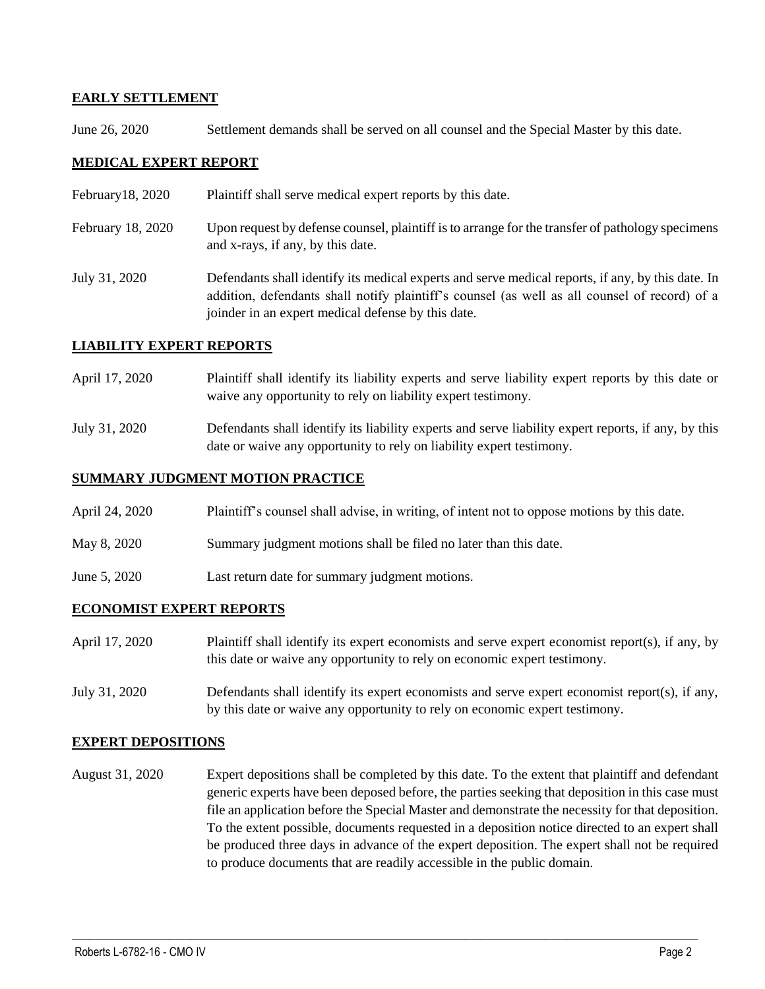## **EARLY SETTLEMENT**

June 26, 2020 Settlement demands shall be served on all counsel and the Special Master by this date.

## **MEDICAL EXPERT REPORT**

- February18, 2020 Plaintiff shall serve medical expert reports by this date.
- February 18, 2020 Upon request by defense counsel, plaintiff is to arrange for the transfer of pathology specimens and x-rays, if any, by this date.
- July 31, 2020 Defendants shall identify its medical experts and serve medical reports, if any, by this date. In addition, defendants shall notify plaintiff's counsel (as well as all counsel of record) of a joinder in an expert medical defense by this date.

### **LIABILITY EXPERT REPORTS**

- April 17, 2020 Plaintiff shall identify its liability experts and serve liability expert reports by this date or waive any opportunity to rely on liability expert testimony.
- July 31, 2020 Defendants shall identify its liability experts and serve liability expert reports, if any, by this date or waive any opportunity to rely on liability expert testimony.

### **SUMMARY JUDGMENT MOTION PRACTICE**

- April 24, 2020 Plaintiff's counsel shall advise, in writing, of intent not to oppose motions by this date.
- May 8, 2020 Summary judgment motions shall be filed no later than this date.
- June 5, 2020 Last return date for summary judgment motions.

#### **ECONOMIST EXPERT REPORTS**

- April 17, 2020 Plaintiff shall identify its expert economists and serve expert economist report(s), if any, by this date or waive any opportunity to rely on economic expert testimony.
- July 31, 2020 Defendants shall identify its expert economists and serve expert economist report(s), if any, by this date or waive any opportunity to rely on economic expert testimony.

#### **EXPERT DEPOSITIONS**

August 31, 2020 Expert depositions shall be completed by this date. To the extent that plaintiff and defendant generic experts have been deposed before, the parties seeking that deposition in this case must file an application before the Special Master and demonstrate the necessity for that deposition. To the extent possible, documents requested in a deposition notice directed to an expert shall be produced three days in advance of the expert deposition. The expert shall not be required to produce documents that are readily accessible in the public domain.

 $\_$  , and the set of the set of the set of the set of the set of the set of the set of the set of the set of the set of the set of the set of the set of the set of the set of the set of the set of the set of the set of th